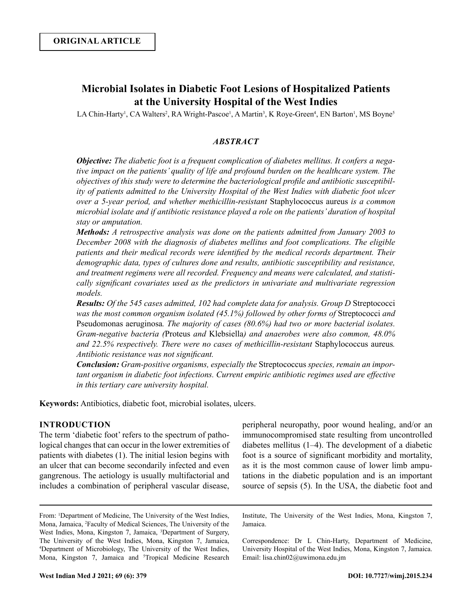# **Microbial Isolates in Diabetic Foot Lesions of Hospitalized Patients at the University Hospital of the West Indies**

LA Chin-Harty<sup>1</sup>, CA Walters<sup>2</sup>, RA Wright-Pascoe<sup>1</sup>, A Martin<sup>3</sup>, K Roye-Green<sup>4</sup>, EN Barton<sup>1</sup>, MS Boyne<sup>5</sup>

## *ABSTRACT*

*Objective: The diabetic foot is a frequent complication of diabetes mellitus. It confers a negative impact on the patients' quality of life and profound burden on the healthcare system. The objectives of this study were to determine the bacteriological profile and antibiotic susceptibility of patients admitted to the University Hospital of the West Indies with diabetic foot ulcer over a 5-year period, and whether methicillin-resistant* Staphylococcus aureus *is a common microbial isolate and if antibiotic resistance played a role on the patients' duration of hospital stay or amputation.*

*Methods: A retrospective analysis was done on the patients admitted from January 2003 to December 2008 with the diagnosis of diabetes mellitus and foot complications. The eligible patients and their medical records were identified by the medical records department. Their demographic data, types of cultures done and results, antibiotic susceptibility and resistance, and treatment regimens were all recorded. Frequency and means were calculated, and statistically significant covariates used as the predictors in univariate and multivariate regression models.*

*Results: Of the 545 cases admitted, 102 had complete data for analysis. Group D Streptococci was the most common organism isolated (45.1%) followed by other forms of* Streptococci *and*  Pseudomonas aeruginosa*. The majority of cases (80.6%) had two or more bacterial isolates. Gram-negative bacteria (*Proteus *and* Klebsiella*) and anaerobes were also common, 48.0% and 22.5% respectively. There were no cases of methicillin-resistant* Staphylococcus aureus*. Antibiotic resistance was not significant.* 

*Conclusion: Gram-positive organisms, especially the* Streptococcus *species, remain an important organism in diabetic foot infections. Current empiric antibiotic regimes used are effective in this tertiary care university hospital.*

**Keywords:** Antibiotics, diabetic foot, microbial isolates, ulcers.

## **INTRODUCTION**

The term 'diabetic foot' refers to the spectrum of pathological changes that can occur in the lower extremities of patients with diabetes (1). The initial lesion begins with an ulcer that can become secondarily infected and even gangrenous. The aetiology is usually multifactorial and includes a combination of peripheral vascular disease,

From: <sup>1</sup>Department of Medicine, The University of the West Indies, Mona, Jamaica, 2 Faculty of Medical Sciences, The University of the West Indies, Mona, Kingston 7, Jamaica, <sup>3</sup>Department of Surgery, The University of the West Indies, Mona, Kingston 7, Jamaica, 4 Department of Microbiology, The University of the West Indies, Mona, Kingston 7, Jamaica and <sup>5</sup>Tropical Medicine Research peripheral neuropathy, poor wound healing, and/or an immunocompromised state resulting from uncontrolled diabetes mellitus (1–4). The development of a diabetic foot is a source of significant morbidity and mortality, as it is the most common cause of lower limb amputations in the diabetic population and is an important source of sepsis (5). In the USA, the diabetic foot and

Institute, The University of the West Indies, Mona, Kingston 7, Jamaica.

Correspondence: Dr L Chin-Harty, Department of Medicine, University Hospital of the West Indies, Mona, Kingston 7, Jamaica. Email: lisa.chin02@uwimona.edu.jm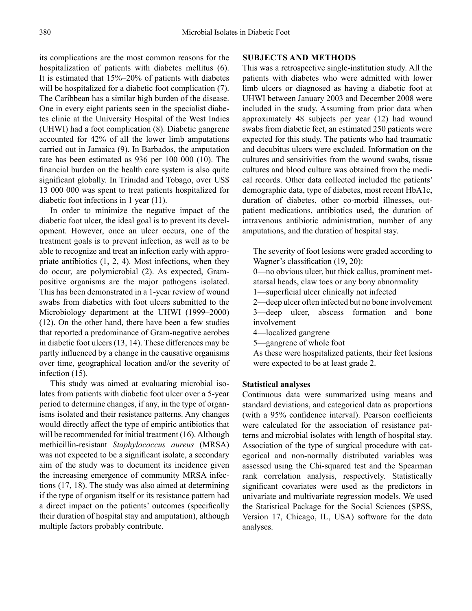its complications are the most common reasons for the hospitalization of patients with diabetes mellitus (6). It is estimated that 15%–20% of patients with diabetes will be hospitalized for a diabetic foot complication (7). The Caribbean has a similar high burden of the disease. One in every eight patients seen in the specialist diabetes clinic at the University Hospital of the West Indies (UHWI) had a foot complication (8). Diabetic gangrene accounted for 42% of all the lower limb amputations carried out in Jamaica (9). In Barbados, the amputation rate has been estimated as 936 per 100 000 (10). The financial burden on the health care system is also quite significant globally. In Trinidad and Tobago, over US\$ 13 000 000 was spent to treat patients hospitalized for diabetic foot infections in 1 year (11).

In order to minimize the negative impact of the diabetic foot ulcer, the ideal goal is to prevent its development. However, once an ulcer occurs, one of the treatment goals is to prevent infection, as well as to be able to recognize and treat an infection early with appropriate antibiotics (1, 2, 4). Most infections, when they do occur, are polymicrobial (2). As expected, Grampositive organisms are the major pathogens isolated. This has been demonstrated in a 1-year review of wound swabs from diabetics with foot ulcers submitted to the Microbiology department at the UHWI (1999–2000) (12). On the other hand, there have been a few studies that reported a predominance of Gram-negative aerobes in diabetic foot ulcers (13, 14). These differences may be partly influenced by a change in the causative organisms over time, geographical location and/or the severity of infection (15).

This study was aimed at evaluating microbial isolates from patients with diabetic foot ulcer over a 5-year period to determine changes, if any, in the type of organisms isolated and their resistance patterns. Any changes would directly affect the type of empiric antibiotics that will be recommended for initial treatment (16). Although methicillin-resistant *Staphylococcus aureus* (MRSA) was not expected to be a significant isolate, a secondary aim of the study was to document its incidence given the increasing emergence of community MRSA infections (17, 18). The study was also aimed at determining if the type of organism itself or its resistance pattern had a direct impact on the patients' outcomes (specifically their duration of hospital stay and amputation), although multiple factors probably contribute.

#### **SUBJECTS AND METHODS**

This was a retrospective single-institution study. All the patients with diabetes who were admitted with lower limb ulcers or diagnosed as having a diabetic foot at UHWI between January 2003 and December 2008 were included in the study. Assuming from prior data when approximately 48 subjects per year (12) had wound swabs from diabetic feet, an estimated 250 patients were expected for this study. The patients who had traumatic and decubitus ulcers were excluded. Information on the cultures and sensitivities from the wound swabs, tissue cultures and blood culture was obtained from the medical records. Other data collected included the patients' demographic data, type of diabetes, most recent HbA1c, duration of diabetes, other co-morbid illnesses, outpatient medications, antibiotics used, the duration of intravenous antibiotic administration, number of any amputations, and the duration of hospital stay.

The severity of foot lesions were graded according to Wagner's classification (19, 20):

0—no obvious ulcer, but thick callus, prominent metatarsal heads, claw toes or any bony abnormality

1—superficial ulcer clinically not infected

2—deep ulcer often infected but no bone involvement 3—deep ulcer, abscess formation and bone involvement

4—localized gangrene

5—gangrene of whole foot

As these were hospitalized patients, their feet lesions were expected to be at least grade 2.

#### **Statistical analyses**

Continuous data were summarized using means and standard deviations, and categorical data as proportions (with a 95% confidence interval). Pearson coefficients were calculated for the association of resistance patterns and microbial isolates with length of hospital stay. Association of the type of surgical procedure with categorical and non-normally distributed variables was assessed using the Chi-squared test and the Spearman rank correlation analysis, respectively. Statistically significant covariates were used as the predictors in univariate and multivariate regression models. We used the Statistical Package for the Social Sciences (SPSS, Version 17, Chicago, IL, USA) software for the data analyses.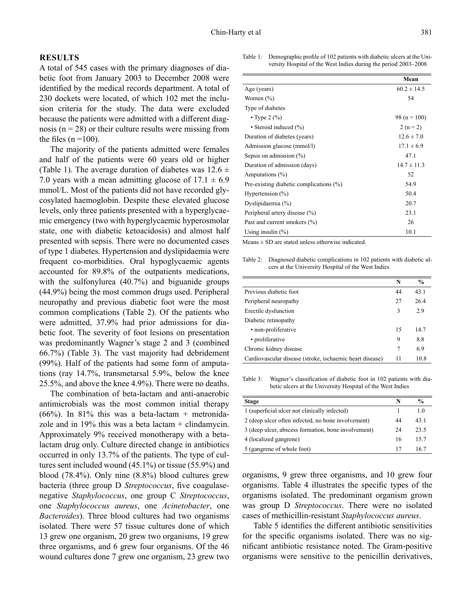#### **RESULTS**

A total of 545 cases with the primary diagnoses of diabetic foot from January 2003 to December 2008 were identified by the medical records department. A total of 230 dockets were located, of which 102 met the inclusion criteria for the study. The data were excluded because the patients were admitted with a different diagnosis ( $n = 28$ ) or their culture results were missing from the files  $(n = 100)$ .

The majority of the patients admitted were females and half of the patients were 60 years old or higher (Table 1). The average duration of diabetes was  $12.6 \pm$ 7.0 years with a mean admitting glucose of  $17.1 \pm 6.9$ mmol/L. Most of the patients did not have recorded glycosylated haemoglobin. Despite these elevated glucose levels, only three patients presented with a hyperglycaemic emergency (two with hyperglycaemic hyperosmolar state, one with diabetic ketoacidosis) and almost half presented with sepsis. There were no documented cases of type 1 diabetes. Hypertension and dyslipidaemia were frequent co-morbidities. Oral hypoglycaemic agents accounted for 89.8% of the outpatients medications, with the sulfonylurea (40.7%) and biguanide groups (44.9%) being the most common drugs used. Peripheral neuropathy and previous diabetic foot were the most common complications (Table 2). Of the patients who were admitted, 37.9% had prior admissions for diabetic foot. The severity of foot lesions on presentation was predominantly Wagner's stage 2 and 3 (combined 66.7%) (Table 3). The vast majority had debridement (99%). Half of the patients had some form of amputations (ray 14.7%, transmetarsal 5.9%, below the knee 25.5%, and above the knee 4.9%). There were no deaths.

The combination of beta-lactam and anti-anaerobic antimicrobials was the most common initial therapy  $(66%)$ . In 81% this was a beta-lactam + metronidazole and in  $19\%$  this was a beta lactam + clindamycin. Approximately 9% received monotherapy with a betalactam drug only. Culture directed change in antibiotics occurred in only 13.7% of the patients. The type of cultures sent included wound (45.1%) or tissue (55.9%) and blood (78.4%). Only nine (8.8%) blood cultures grew bacteria (three group D *Streptococcus*, five coagulasenegative *Staphylococcus*, one group C *Streptococcus*, one *Staphylococcus aureus*, one *Acinetobacter*, one *Bacteroides*). Three blood cultures had two organisms isolated. There were 57 tissue cultures done of which 13 grew one organism, 20 grew two organisms, 19 grew three organisms, and 6 grew four organisms. Of the 46 wound cultures done 7 grew one organism, 23 grew two

Table 1: Demographic profile of 102 patients with diabetic ulcers at the University Hospital of the West Indies during the period 2003–2008

|                                            | Mean             |
|--------------------------------------------|------------------|
| Age (years)                                | $60.2 \pm 14.5$  |
| Women $(\% )$                              | 54               |
| Type of diabetes                           |                  |
| • Type $2(%)$                              | 98 ( $n = 100$ ) |
| • Steroid induced (%)                      | $2(n=2)$         |
| Duration of diabetes (years)               | $12.6 \pm 7.0$   |
| Admission glucose (mmol/l)                 | $17.1 \pm 6.9$   |
| Sepsis on admission $(\%)$                 | 47.1             |
| Duration of admission (days)               | $14.7 \pm 11.3$  |
| Amputations $(\% )$                        | 52               |
| Pre-existing diabetic complications $(\%)$ | 54.9             |
| Hypertension $(\% )$                       | 50.4             |
| Dyslipidaemia (%)                          | 20.7             |
| Peripheral artery disease (%)              | 23.1             |
| Past and current smokers (%)               | 26               |
| Using insulin $(\%)$                       | 10.1             |

 $Means ± SD$  are stated unless otherwise indicated.

Table 2: Diagnosed diabetic complications in 102 patients with diabetic ulcers at the University Hospital of the West Indies

|                                                          | N  | $\frac{6}{9}$ |
|----------------------------------------------------------|----|---------------|
| Previous diabetic foot                                   | 44 | 43.1          |
| Peripheral neuropathy                                    | 27 | 26.4          |
| Erectile dysfunction                                     | 3  | 2.9           |
| Diabetic retinopathy                                     |    |               |
| • non-proliferative                                      | 15 | 14.7          |
| • proliferative                                          | 9  | 8.8           |
| Chronic kidney disease                                   | 7  | 6.9           |
| Cardiovascular disease (stroke, ischaemic heart disease) |    | 10.8          |

Table 3: Wagner's classification of diabetic foot in 102 patients with diabetic ulcers at the University Hospital of the West Indies

| Stage                                               | N  | $\frac{0}{0}$ |
|-----------------------------------------------------|----|---------------|
| 1 (superficial ulcer not clinically infected)       |    | 1.0           |
| 2 (deep ulcer often infected, no bone involvement)  | 44 | 43.1          |
| 3 (deep ulcer, abscess formation, bone involvement) | 24 | 23.5          |
| 4 (localized gangrene)                              | 16 | 15.7          |
| 5 (gangrene of whole foot)                          | 17 | 16.7          |

organisms, 9 grew three organisms, and 10 grew four organisms. Table 4 illustrates the specific types of the organisms isolated. The predominant organism grown was group D *Streptococcus*. There were no isolated cases of methicillin-resistant *Staphylococcus aureus*.

Table 5 identifies the different antibiotic sensitivities for the specific organisms isolated. There was no significant antibiotic resistance noted. The Gram-positive organisms were sensitive to the penicillin derivatives,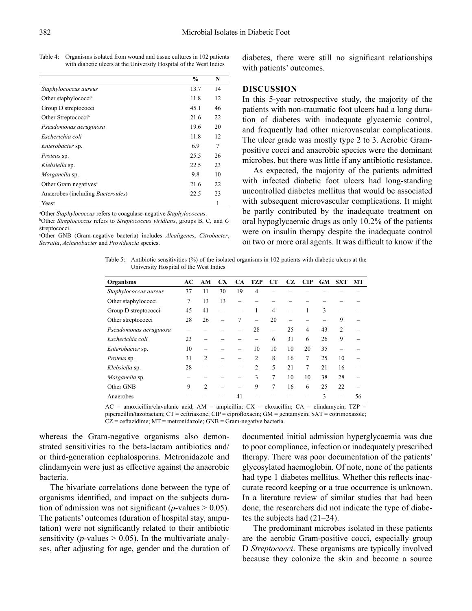| Table 4: Organisms isolated from wound and tissue cultures in 102 patients |
|----------------------------------------------------------------------------|
| with diabetic ulcers at the University Hospital of the West Indies         |

|                                           | $\frac{6}{9}$ | N              |
|-------------------------------------------|---------------|----------------|
| Staphylococcus aureus                     | 13.7          | 14             |
| Other staphylococci <sup>a</sup>          | 11.8          | 12             |
| Group D streptococci                      | 45.1          | 46             |
| Other Streptococci <sup>b</sup>           | 21.6          | 22             |
| Pseudomonas aeruginosa                    | 19.6          | 20             |
| Escherichia coli                          | 11.8          | 12             |
| <i>Enterobacter</i> sp.                   | 6.9           | $\overline{7}$ |
| <i>Proteus</i> sp.                        | 25.5          | 26             |
| Klebsiella sp.                            | 22.5          | 23             |
| <i>Morganella</i> sp.                     | 9.8           | 10             |
| Other Gram negatives <sup>c</sup>         | 21.6          | 22             |
| Anaerobes (including <i>Bacteroides</i> ) | 22.5          | 23             |
| Yeast                                     |               |                |

a Other *Staphylococcus* refers to coagulase-negative *Staphylococcus*. b

Other *Streptococcus* refers to *Streptococcus viridians*, groups B, C, and *G* streptococci.

c Other GNB (Gram-negative bacteria) includes *Alcaligenes*, *Citrobacter*, *Serratia*, *Acinetobacter* and *Providencia* species.

diabetes, there were still no significant relationships with patients' outcomes.

#### **DISCUSSION**

In this 5-year retrospective study, the majority of the patients with non-traumatic foot ulcers had a long duration of diabetes with inadequate glycaemic control, and frequently had other microvascular complications. The ulcer grade was mostly type 2 to 3. Aerobic Grampositive cocci and anaerobic species were the dominant microbes, but there was little if any antibiotic resistance.

As expected, the majority of the patients admitted with infected diabetic foot ulcers had long-standing uncontrolled diabetes mellitus that would be associated with subsequent microvascular complications. It might be partly contributed by the inadequate treatment on oral hypoglycaemic drugs as only 10.2% of the patients were on insulin therapy despite the inadequate control on two or more oral agents. It was difficult to know if the

Table 5: Antibiotic sensitivities (%) of the isolated organisms in 102 patients with diabetic ulcers at the University Hospital of the West Indies

| <b>Organisms</b>       | AC | AM             | <b>CX</b>                | CA | <b>TZP</b>     | CТ                       | CZ. | CIP            | <b>GM</b> | <b>SXT</b>     | MT |
|------------------------|----|----------------|--------------------------|----|----------------|--------------------------|-----|----------------|-----------|----------------|----|
| Staphylococcus aureus  | 37 | 11             | 30                       | 19 | 4              |                          |     |                |           |                |    |
| Other staphylococci    | 7  | 13             | 13                       |    |                |                          |     |                |           |                |    |
| Group D streptococci   | 45 | 41             | $\overline{\phantom{a}}$ |    |                | $\overline{4}$           | -   | 1              | 3         |                |    |
| Other streptococci     | 28 | 26             |                          | 7  | -              | 20                       |     |                |           | 9              |    |
| Pseudomonas aeruginosa |    |                |                          |    | 28             | $\overline{\phantom{0}}$ | 25  | $\overline{4}$ | 43        | $\overline{2}$ |    |
| Escherichia coli       | 23 | -              |                          |    |                | 6                        | 31  | 6              | 26        | 9              |    |
| Enterobacter sp.       | 10 | -              |                          |    | 10             | 10                       | 10  | 20             | 35        |                |    |
| Proteus sp.            | 31 | $\overline{2}$ |                          |    | $\overline{2}$ | 8                        | 16  | 7              | 25        | 10             |    |
| Klebsiella sp.         | 28 |                |                          |    | $\overline{2}$ | 5                        | 21  | 7              | 21        | 16             |    |
| Morganella sp.         |    |                |                          |    | 3              | 7                        | 10  | 10             | 38        | 28             |    |
| Other GNB              | 9  | $\overline{2}$ |                          |    | 9              | 7                        | 16  | 6              | 25        | 22             |    |
| Anaerobes              |    |                |                          | 41 |                |                          |     |                | 3         |                | 56 |

 $AC =$  amoxicillin/clavulanic acid;  $AM =$  ampicillin;  $CX =$  cloxacillin;  $CA =$  clindamycin;  $TZP =$ piperacillin/tazobactam; CT = ceftriaxone; CIP = ciprofloxacin; GM = gentamycin; SXT = cotrimoxazole;

 $CZ =$  ceftazidime;  $MT =$  metronidazole;  $GNB =$  Gram-negative bacteria.

whereas the Gram-negative organisms also demonstrated sensitivities to the beta-lactam antibiotics and/ or third-generation cephalosporins. Metronidazole and clindamycin were just as effective against the anaerobic bacteria.

The bivariate correlations done between the type of organisms identified, and impact on the subjects duration of admission was not significant ( $p$ -values  $> 0.05$ ). The patients' outcomes (duration of hospital stay, amputation) were not significantly related to their antibiotic sensitivity ( $p$ -values  $> 0.05$ ). In the multivariate analyses, after adjusting for age, gender and the duration of documented initial admission hyperglycaemia was due to poor compliance, infection or inadequately prescribed therapy. There was poor documentation of the patients' glycosylated haemoglobin. Of note, none of the patients had type 1 diabetes mellitus. Whether this reflects inaccurate record keeping or a true occurrence is unknown. In a literature review of similar studies that had been done, the researchers did not indicate the type of diabetes the subjects had (21–24).

The predominant microbes isolated in these patients are the aerobic Gram-positive cocci, especially group D *Streptococci*. These organisms are typically involved because they colonize the skin and become a source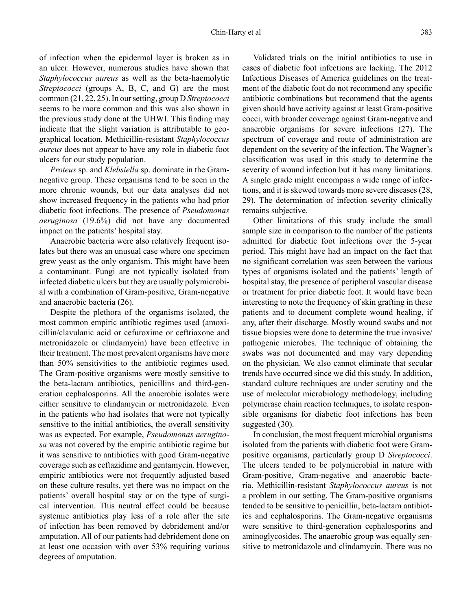of infection when the epidermal layer is broken as in an ulcer. However, numerous studies have shown that *Staphylococcus aureus* as well as the beta-haemolytic *Streptococci* (groups A, B, C, and G) are the most common (21, 22, 25). In our setting, group D *Streptococci* seems to be more common and this was also shown in the previous study done at the UHWI. This finding may indicate that the slight variation is attributable to geographical location. Methicillin-resistant *Staphylococcus aureus* does not appear to have any role in diabetic foot ulcers for our study population.

*Proteus* sp. and *Klebsiella* sp. dominate in the Gramnegative group. These organisms tend to be seen in the more chronic wounds, but our data analyses did not show increased frequency in the patients who had prior diabetic foot infections. The presence of *Pseudomonas aeruginosa* (19.6%) did not have any documented impact on the patients' hospital stay.

Anaerobic bacteria were also relatively frequent isolates but there was an unusual case where one specimen grew yeast as the only organism. This might have been a contaminant. Fungi are not typically isolated from infected diabetic ulcers but they are usually polymicrobial with a combination of Gram-positive, Gram-negative and anaerobic bacteria (26).

Despite the plethora of the organisms isolated, the most common empiric antibiotic regimes used (amoxicillin/clavulanic acid or cefuroxime or ceftriaxone and metronidazole or clindamycin) have been effective in their treatment. The most prevalent organisms have more than 50% sensitivities to the antibiotic regimes used. The Gram-positive organisms were mostly sensitive to the beta-lactam antibiotics, penicillins and third-generation cephalosporins. All the anaerobic isolates were either sensitive to clindamycin or metronidazole. Even in the patients who had isolates that were not typically sensitive to the initial antibiotics, the overall sensitivity was as expected. For example, *Pseudomonas aeruginosa* was not covered by the empiric antibiotic regime but it was sensitive to antibiotics with good Gram-negative coverage such as ceftazidime and gentamycin. However, empiric antibiotics were not frequently adjusted based on these culture results, yet there was no impact on the patients' overall hospital stay or on the type of surgical intervention. This neutral effect could be because systemic antibiotics play less of a role after the site of infection has been removed by debridement and/or amputation. All of our patients had debridement done on at least one occasion with over 53% requiring various degrees of amputation.

Validated trials on the initial antibiotics to use in cases of diabetic foot infections are lacking. The 2012 Infectious Diseases of America guidelines on the treatment of the diabetic foot do not recommend any specific antibiotic combinations but recommend that the agents given should have activity against at least Gram-positive cocci, with broader coverage against Gram-negative and anaerobic organisms for severe infections (27). The spectrum of coverage and route of administration are dependent on the severity of the infection. The Wagner's classification was used in this study to determine the severity of wound infection but it has many limitations. A single grade might encompass a wide range of infections, and it is skewed towards more severe diseases (28, 29). The determination of infection severity clinically remains subjective.

Other limitations of this study include the small sample size in comparison to the number of the patients admitted for diabetic foot infections over the 5-year period. This might have had an impact on the fact that no significant correlation was seen between the various types of organisms isolated and the patients' length of hospital stay, the presence of peripheral vascular disease or treatment for prior diabetic foot. It would have been interesting to note the frequency of skin grafting in these patients and to document complete wound healing, if any, after their discharge. Mostly wound swabs and not tissue biopsies were done to determine the true invasive/ pathogenic microbes. The technique of obtaining the swabs was not documented and may vary depending on the physician. We also cannot eliminate that secular trends have occurred since we did this study. In addition, standard culture techniques are under scrutiny and the use of molecular microbiology methodology, including polymerase chain reaction techniques, to isolate responsible organisms for diabetic foot infections has been suggested (30).

In conclusion, the most frequent microbial organisms isolated from the patients with diabetic foot were Grampositive organisms, particularly group D *Streptococci*. The ulcers tended to be polymicrobial in nature with Gram-positive, Gram-negative and anaerobic bacteria. Methicillin-resistant *Staphylococcus aureus* is not a problem in our setting. The Gram-positive organisms tended to be sensitive to penicillin, beta-lactam antibiotics and cephalosporins. The Gram-negative organisms were sensitive to third-generation cephalosporins and aminoglycosides. The anaerobic group was equally sensitive to metronidazole and clindamycin. There was no